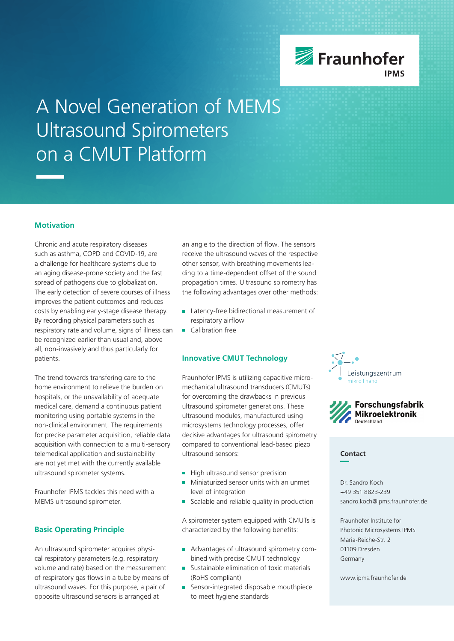

# A Novel Generation of MEMS Ultrasound Spirometers on a CMUT Platform

### **Motivation**

Chronic and acute respiratory diseases such as asthma, COPD and COVID-19, are a challenge for healthcare systems due to an aging disease-prone society and the fast spread of pathogens due to globalization. The early detection of severe courses of illness improves the patient outcomes and reduces costs by enabling early-stage disease therapy. By recording physical parameters such as respiratory rate and volume, signs of illness can be recognized earlier than usual and, above all, non-invasively and thus particularly for patients.

The trend towards transfering care to the home environment to relieve the burden on hospitals, or the unavailability of adequate medical care, demand a continuous patient monitoring using portable systems in the non-clinical environment. The requirements for precise parameter acquisition, reliable data acquisition with connection to a multi-sensory telemedical application and sustainability are not yet met with the currently available ultrasound spirometer systems.

Fraunhofer IPMS tackles this need with a MEMS ultrasound spirometer.

#### **Basic Operating Principle**

An ultrasound spirometer acquires physical respiratory parameters (e.g. respiratory volume and rate) based on the measurement of respiratory gas flows in a tube by means of ultrasound waves. For this purpose, a pair of opposite ultrasound sensors is arranged at

an angle to the direction of flow. The sensors receive the ultrasound waves of the respective other sensor, with breathing movements leading to a time-dependent offset of the sound propagation times. Ultrasound spirometry has the following advantages over other methods:

- **Latency-free bidirectional measurement of** respiratory airflow
- Calibration free

#### **Innovative CMUT Technology**

Fraunhofer IPMS is utilizing capacitive micromechanical ultrasound transducers (CMUTs) for overcoming the drawbacks in previous ultrasound spirometer generations. These ultrasound modules, manufactured using microsystems technology processes, offer decisive advantages for ultrasound spirometry compared to conventional lead-based piezo ultrasound sensors:

- High ultrasound sensor precision
- **Miniaturized sensor units with an unmet** level of integration
- Scalable and reliable quality in production

A spirometer system equipped with CMUTs is characterized by the following benefits:

- Advantages of ultrasound spirometry combined with precise CMUT technology
- Sustainable elimination of toxic materials (RoHS compliant)
- **Sensor-integrated disposable mouthpiece** to meet hygiene standards





#### **Contact**

Dr. Sandro Koch +49 351 8823-239 sandro.koch@ipms.fraunhofer.de

Fraunhofer Institute for Photonic Microsystems IPMS Maria-Reiche-Str. 2 01109 Dresden Germany

www.ipms.fraunhofer.de